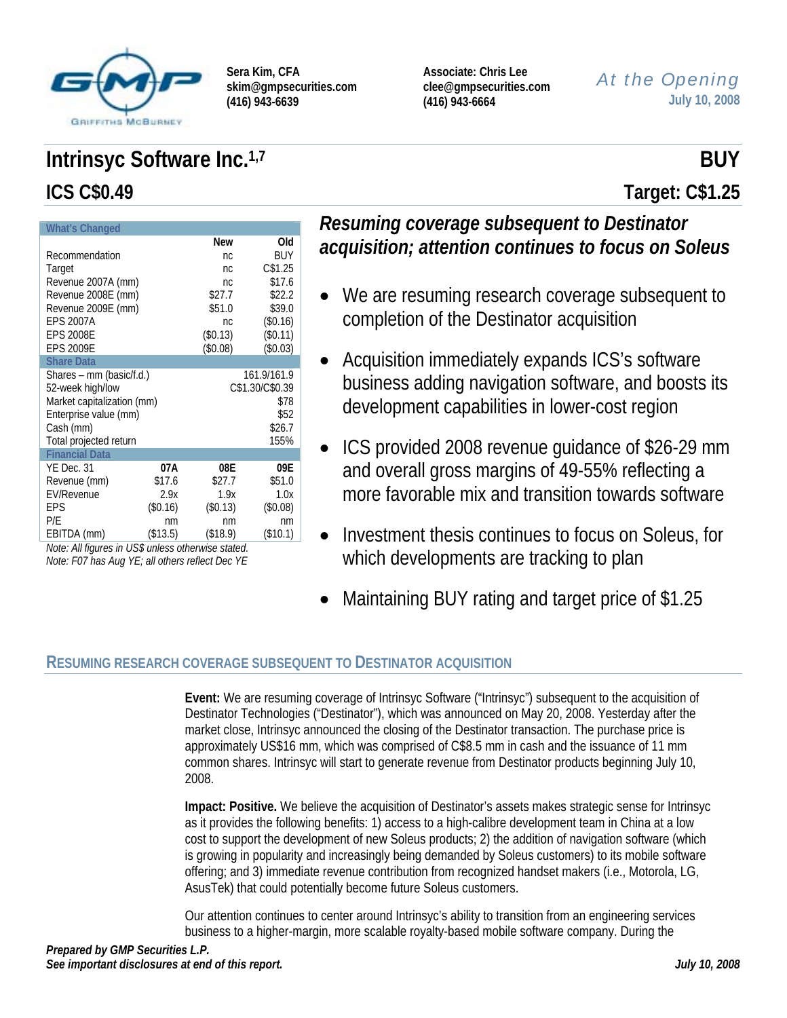

**Associate: Chris Lee clee@gmpsecurities.com (416) 943-6664** 

## *At the Opening* **July 10, 2008**

# **Intrinsyc Software Inc.**<sup>1,7</sup> BUY **ICS C\$0.49 Target: C\$1.25**

| <b>What's Changed</b>      |          |             |                 |  |  |  |  |  |  |
|----------------------------|----------|-------------|-----------------|--|--|--|--|--|--|
|                            |          | <b>New</b>  | Old             |  |  |  |  |  |  |
| Recommendation             | nc       | <b>BUY</b>  |                 |  |  |  |  |  |  |
| Target                     |          | nc.         | C\$1.25         |  |  |  |  |  |  |
| Revenue 2007A (mm)         |          | nc          | \$17.6          |  |  |  |  |  |  |
| Revenue 2008E (mm)         |          | \$27.7      | \$22.2          |  |  |  |  |  |  |
| Revenue 2009E (mm)         |          | \$51.0      | \$39.0          |  |  |  |  |  |  |
| <b>EPS 2007A</b>           |          | nc.         | (\$0.16)        |  |  |  |  |  |  |
| <b>EPS 2008E</b>           |          | (\$0.13)    | (\$0.11)        |  |  |  |  |  |  |
| <b>EPS 2009E</b>           |          | (\$0.08)    | (\$0.03)        |  |  |  |  |  |  |
| <b>Share Data</b>          |          |             |                 |  |  |  |  |  |  |
| Shares – mm (basic/f.d.)   |          | 161.9/161.9 |                 |  |  |  |  |  |  |
| 52-week high/low           |          |             | C\$1.30/C\$0.39 |  |  |  |  |  |  |
| Market capitalization (mm) |          |             | \$78            |  |  |  |  |  |  |
| Enterprise value (mm)      |          |             | \$52            |  |  |  |  |  |  |
| Cash (mm)                  |          |             | \$26.7          |  |  |  |  |  |  |
| Total projected return     |          |             | 155%            |  |  |  |  |  |  |
| <b>Financial Data</b>      |          |             |                 |  |  |  |  |  |  |
| YE Dec. 31                 | 07A      | 08E         | 09E             |  |  |  |  |  |  |
| Revenue (mm)               | \$17.6   | \$27.7      | \$51.0          |  |  |  |  |  |  |
| <b>EV/Revenue</b>          | 2.9x     | 1.9x        | 1.0x            |  |  |  |  |  |  |
| EPS                        | (\$0.16) | (\$0.13)    | (\$0.08)        |  |  |  |  |  |  |
| P/E                        | nm       | nm          | nm              |  |  |  |  |  |  |
| EBITDA (mm)                | (\$13.5) | (\$18.9)    | (\$10.1)        |  |  |  |  |  |  |

*Note: All figures in US\$ unless otherwise stated. Note: F07 has Aug YE; all others reflect Dec YE* 

## *Resuming coverage subsequent to Destinator acquisition; attention continues to focus on Soleus*

- We are resuming research coverage subsequent to completion of the Destinator acquisition
- Acquisition immediately expands ICS's software business adding navigation software, and boosts its development capabilities in lower-cost region
- ICS provided 2008 revenue guidance of \$26-29 mm and overall gross margins of 49-55% reflecting a more favorable mix and transition towards software
- Investment thesis continues to focus on Soleus, for which developments are tracking to plan
- Maintaining BUY rating and target price of \$1.25

## **RESUMING RESEARCH COVERAGE SUBSEQUENT TO DESTINATOR ACQUISITION**

**Event:** We are resuming coverage of Intrinsyc Software ("Intrinsyc") subsequent to the acquisition of Destinator Technologies ("Destinator"), which was announced on May 20, 2008. Yesterday after the market close, Intrinsyc announced the closing of the Destinator transaction. The purchase price is approximately US\$16 mm, which was comprised of C\$8.5 mm in cash and the issuance of 11 mm common shares. Intrinsyc will start to generate revenue from Destinator products beginning July 10, 2008.

**Impact: Positive.** We believe the acquisition of Destinator's assets makes strategic sense for Intrinsyc as it provides the following benefits: 1) access to a high-calibre development team in China at a low cost to support the development of new Soleus products; 2) the addition of navigation software (which is growing in popularity and increasingly being demanded by Soleus customers) to its mobile software offering; and 3) immediate revenue contribution from recognized handset makers (i.e., Motorola, LG, AsusTek) that could potentially become future Soleus customers.

Our attention continues to center around Intrinsyc's ability to transition from an engineering services business to a higher-margin, more scalable royalty-based mobile software company. During the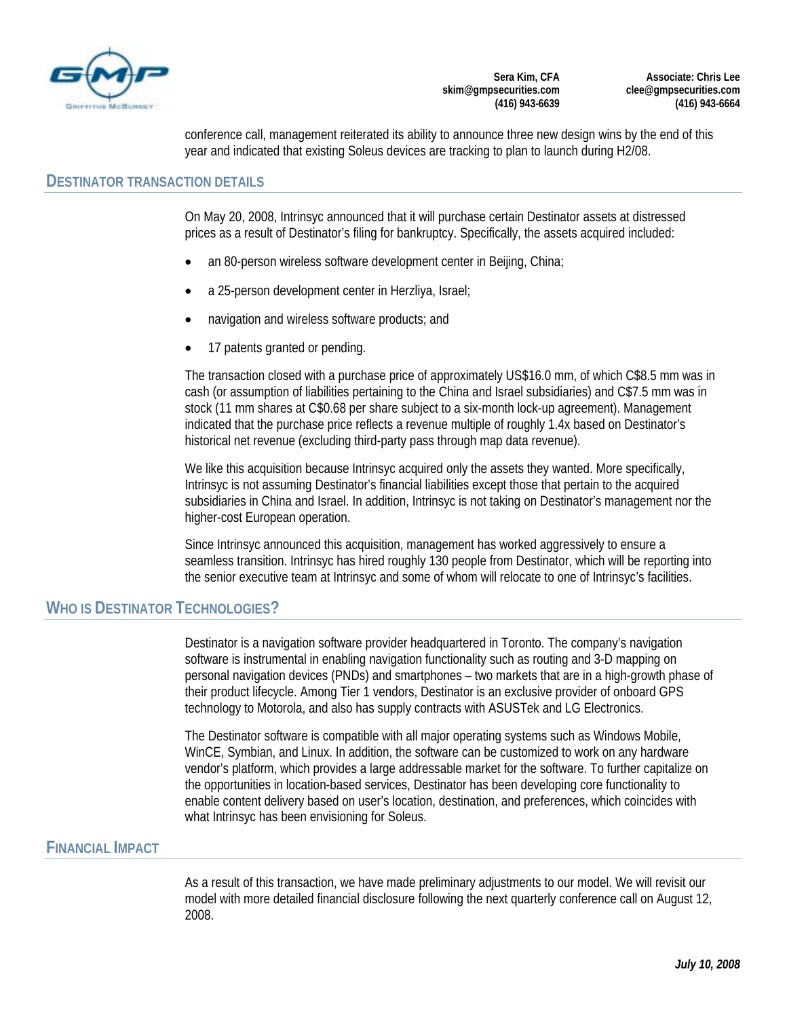

**Associate: Chris Lee clee@gmpsecurities.com (416) 943-6664** 

conference call, management reiterated its ability to announce three new design wins by the end of this year and indicated that existing Soleus devices are tracking to plan to launch during H2/08.

#### **DESTINATOR TRANSACTION DETAILS**

On May 20, 2008, Intrinsyc announced that it will purchase certain Destinator assets at distressed prices as a result of Destinator's filing for bankruptcy. Specifically, the assets acquired included:

- an 80-person wireless software development center in Beijing, China;
- a 25-person development center in Herzliya, Israel;
- navigation and wireless software products; and
- 17 patents granted or pending.

The transaction closed with a purchase price of approximately US\$16.0 mm, of which C\$8.5 mm was in cash (or assumption of liabilities pertaining to the China and Israel subsidiaries) and C\$7.5 mm was in stock (11 mm shares at C\$0.68 per share subject to a six-month lock-up agreement). Management indicated that the purchase price reflects a revenue multiple of roughly 1.4x based on Destinator's historical net revenue (excluding third-party pass through map data revenue).

We like this acquisition because Intrinsyc acquired only the assets they wanted. More specifically, Intrinsyc is not assuming Destinator's financial liabilities except those that pertain to the acquired subsidiaries in China and Israel. In addition, Intrinsyc is not taking on Destinator's management nor the higher-cost European operation.

Since Intrinsyc announced this acquisition, management has worked aggressively to ensure a seamless transition. Intrinsyc has hired roughly 130 people from Destinator, which will be reporting into the senior executive team at Intrinsyc and some of whom will relocate to one of Intrinsyc's facilities.

#### **WHO IS DESTINATOR TECHNOLOGIES?**

Destinator is a navigation software provider headquartered in Toronto. The company's navigation software is instrumental in enabling navigation functionality such as routing and 3-D mapping on personal navigation devices (PNDs) and smartphones – two markets that are in a high-growth phase of their product lifecycle. Among Tier 1 vendors, Destinator is an exclusive provider of onboard GPS technology to Motorola, and also has supply contracts with ASUSTek and LG Electronics.

The Destinator software is compatible with all major operating systems such as Windows Mobile, WinCE, Symbian, and Linux. In addition, the software can be customized to work on any hardware vendor's platform, which provides a large addressable market for the software. To further capitalize on the opportunities in location-based services, Destinator has been developing core functionality to enable content delivery based on user's location, destination, and preferences, which coincides with what Intrinsyc has been envisioning for Soleus.

#### **FINANCIAL IMPACT**

As a result of this transaction, we have made preliminary adjustments to our model. We will revisit our model with more detailed financial disclosure following the next quarterly conference call on August 12, 2008.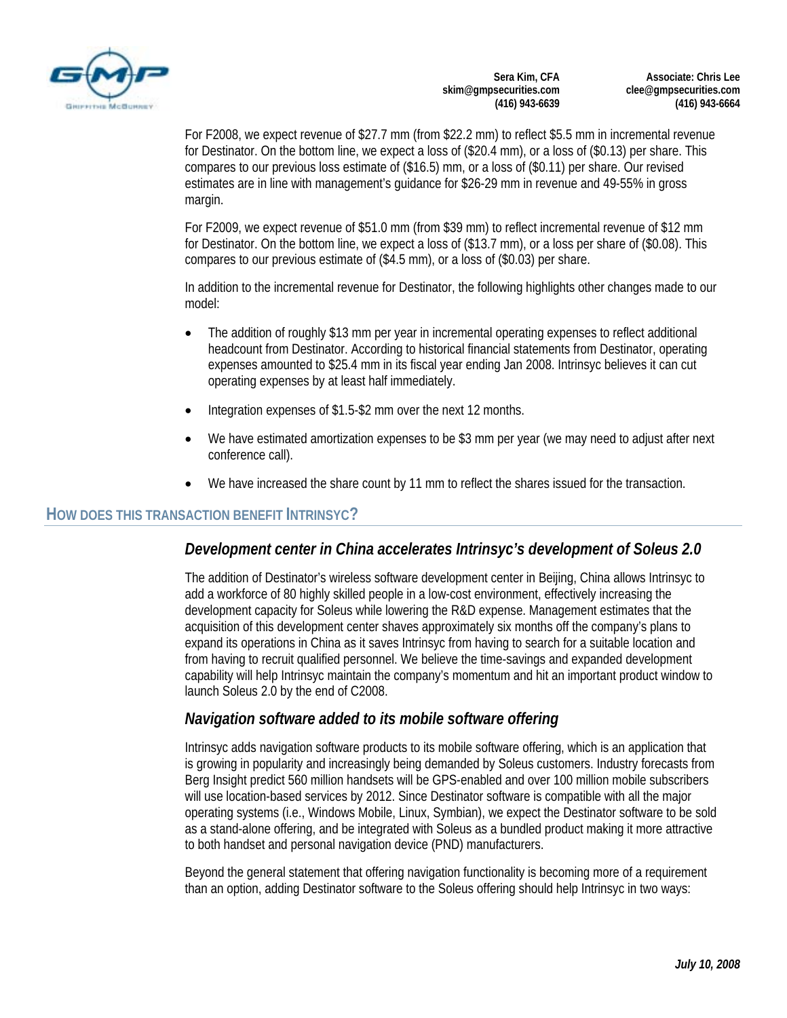

**Associate: Chris Lee clee@gmpsecurities.com (416) 943-6664** 

For F2008, we expect revenue of \$27.7 mm (from \$22.2 mm) to reflect \$5.5 mm in incremental revenue for Destinator. On the bottom line, we expect a loss of (\$20.4 mm), or a loss of (\$0.13) per share. This compares to our previous loss estimate of (\$16.5) mm, or a loss of (\$0.11) per share. Our revised estimates are in line with management's guidance for \$26-29 mm in revenue and 49-55% in gross margin.

For F2009, we expect revenue of \$51.0 mm (from \$39 mm) to reflect incremental revenue of \$12 mm for Destinator. On the bottom line, we expect a loss of (\$13.7 mm), or a loss per share of (\$0.08). This compares to our previous estimate of (\$4.5 mm), or a loss of (\$0.03) per share.

In addition to the incremental revenue for Destinator, the following highlights other changes made to our model:

- The addition of roughly \$13 mm per year in incremental operating expenses to reflect additional headcount from Destinator. According to historical financial statements from Destinator, operating expenses amounted to \$25.4 mm in its fiscal year ending Jan 2008. Intrinsyc believes it can cut operating expenses by at least half immediately.
- Integration expenses of \$1.5-\$2 mm over the next 12 months.
- We have estimated amortization expenses to be \$3 mm per year (we may need to adjust after next conference call).
- We have increased the share count by 11 mm to reflect the shares issued for the transaction.

#### **HOW DOES THIS TRANSACTION BENEFIT INTRINSYC?**

#### *Development center in China accelerates Intrinsyc's development of Soleus 2.0*

The addition of Destinator's wireless software development center in Beijing, China allows Intrinsyc to add a workforce of 80 highly skilled people in a low-cost environment, effectively increasing the development capacity for Soleus while lowering the R&D expense. Management estimates that the acquisition of this development center shaves approximately six months off the company's plans to expand its operations in China as it saves Intrinsyc from having to search for a suitable location and from having to recruit qualified personnel. We believe the time-savings and expanded development capability will help Intrinsyc maintain the company's momentum and hit an important product window to launch Soleus 2.0 by the end of C2008.

#### *Navigation software added to its mobile software offering*

Intrinsyc adds navigation software products to its mobile software offering, which is an application that is growing in popularity and increasingly being demanded by Soleus customers. Industry forecasts from Berg Insight predict 560 million handsets will be GPS-enabled and over 100 million mobile subscribers will use location-based services by 2012. Since Destinator software is compatible with all the major operating systems (i.e., Windows Mobile, Linux, Symbian), we expect the Destinator software to be sold as a stand-alone offering, and be integrated with Soleus as a bundled product making it more attractive to both handset and personal navigation device (PND) manufacturers.

Beyond the general statement that offering navigation functionality is becoming more of a requirement than an option, adding Destinator software to the Soleus offering should help Intrinsyc in two ways: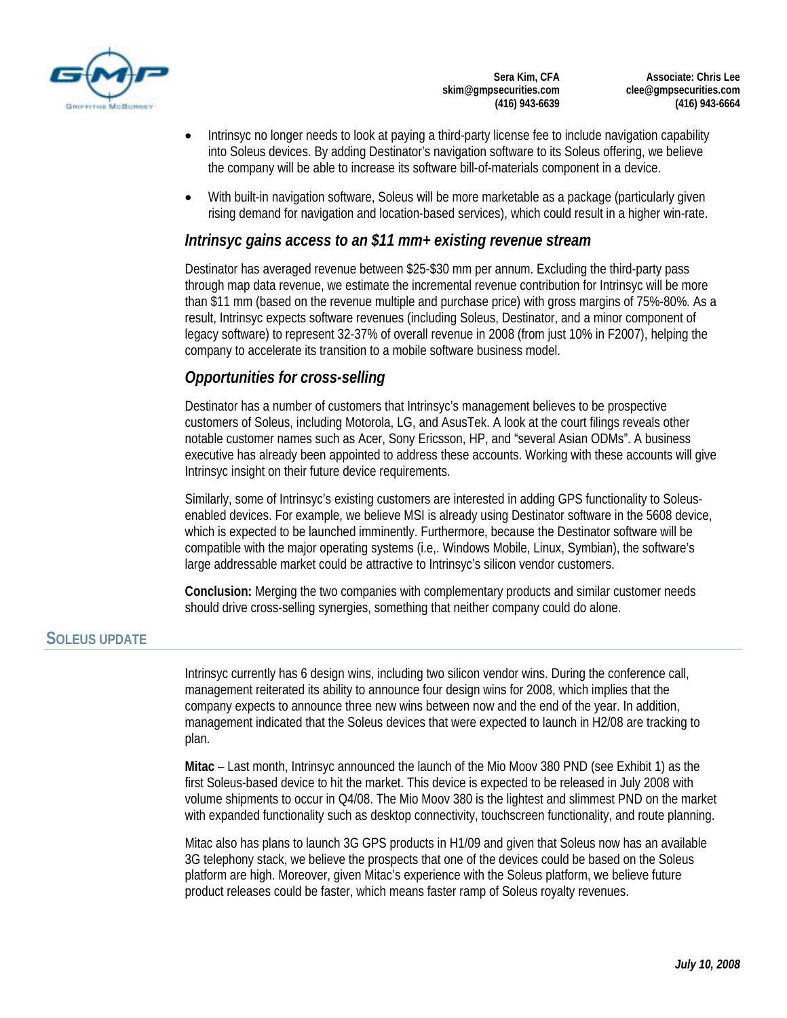

**Associate: Chris Lee clee@gmpsecurities.com (416) 943-6664** 

- Intrinsyc no longer needs to look at paying a third-party license fee to include navigation capability into Soleus devices. By adding Destinator's navigation software to its Soleus offering, we believe the company will be able to increase its software bill-of-materials component in a device.
- With built-in navigation software, Soleus will be more marketable as a package (particularly given rising demand for navigation and location-based services), which could result in a higher win-rate.

#### *Intrinsyc gains access to an \$11 mm+ existing revenue stream*

Destinator has averaged revenue between \$25-\$30 mm per annum. Excluding the third-party pass through map data revenue, we estimate the incremental revenue contribution for Intrinsyc will be more than \$11 mm (based on the revenue multiple and purchase price) with gross margins of 75%-80%. As a result, Intrinsyc expects software revenues (including Soleus, Destinator, and a minor component of legacy software) to represent 32-37% of overall revenue in 2008 (from just 10% in F2007), helping the company to accelerate its transition to a mobile software business model.

## *Opportunities for cross-selling*

Destinator has a number of customers that Intrinsyc's management believes to be prospective customers of Soleus, including Motorola, LG, and AsusTek. A look at the court filings reveals other notable customer names such as Acer, Sony Ericsson, HP, and "several Asian ODMs". A business executive has already been appointed to address these accounts. Working with these accounts will give Intrinsyc insight on their future device requirements.

Similarly, some of Intrinsyc's existing customers are interested in adding GPS functionality to Soleusenabled devices. For example, we believe MSI is already using Destinator software in the 5608 device, which is expected to be launched imminently. Furthermore, because the Destinator software will be compatible with the major operating systems (i.e,. Windows Mobile, Linux, Symbian), the software's large addressable market could be attractive to Intrinsyc's silicon vendor customers.

**Conclusion:** Merging the two companies with complementary products and similar customer needs should drive cross-selling synergies, something that neither company could do alone.

### **SOLEUS UPDATE**

Intrinsyc currently has 6 design wins, including two silicon vendor wins. During the conference call, management reiterated its ability to announce four design wins for 2008, which implies that the company expects to announce three new wins between now and the end of the year. In addition, management indicated that the Soleus devices that were expected to launch in H2/08 are tracking to plan.

**Mitac** – Last month, Intrinsyc announced the launch of the Mio Moov 380 PND (see Exhibit 1) as the first Soleus-based device to hit the market. This device is expected to be released in July 2008 with volume shipments to occur in Q4/08. The Mio Moov 380 is the lightest and slimmest PND on the market with expanded functionality such as desktop connectivity, touchscreen functionality, and route planning.

Mitac also has plans to launch 3G GPS products in H1/09 and given that Soleus now has an available 3G telephony stack, we believe the prospects that one of the devices could be based on the Soleus platform are high. Moreover, given Mitac's experience with the Soleus platform, we believe future product releases could be faster, which means faster ramp of Soleus royalty revenues.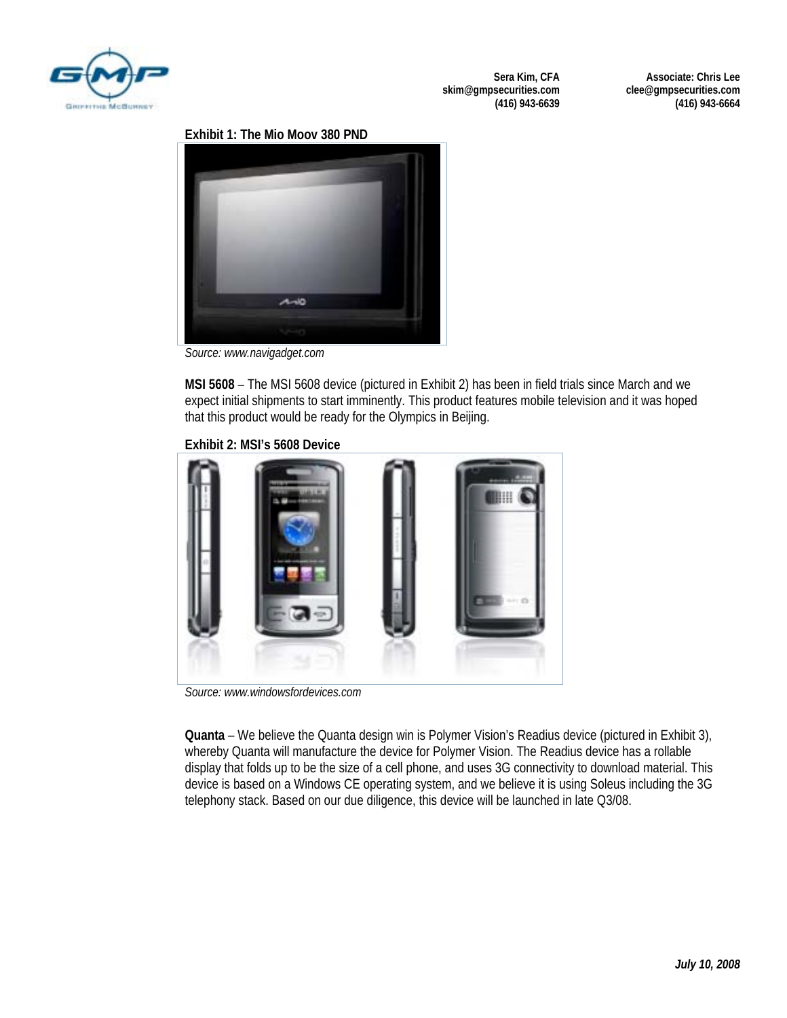

**Associate: Chris Lee clee@gmpsecurities.com (416) 943-6664** 

#### **Exhibit 1: The Mio Moov 380 PND**



*Source: www.navigadget.com* 

**MSI 5608** – The MSI 5608 device (pictured in Exhibit 2) has been in field trials since March and we expect initial shipments to start imminently. This product features mobile television and it was hoped that this product would be ready for the Olympics in Beijing.

#### **Exhibit 2: MSI's 5608 Device**



*Source: www.windowsfordevices.com* 

**Quanta** – We believe the Quanta design win is Polymer Vision's Readius device (pictured in Exhibit 3), whereby Quanta will manufacture the device for Polymer Vision. The Readius device has a rollable display that folds up to be the size of a cell phone, and uses 3G connectivity to download material. This device is based on a Windows CE operating system, and we believe it is using Soleus including the 3G telephony stack. Based on our due diligence, this device will be launched in late Q3/08.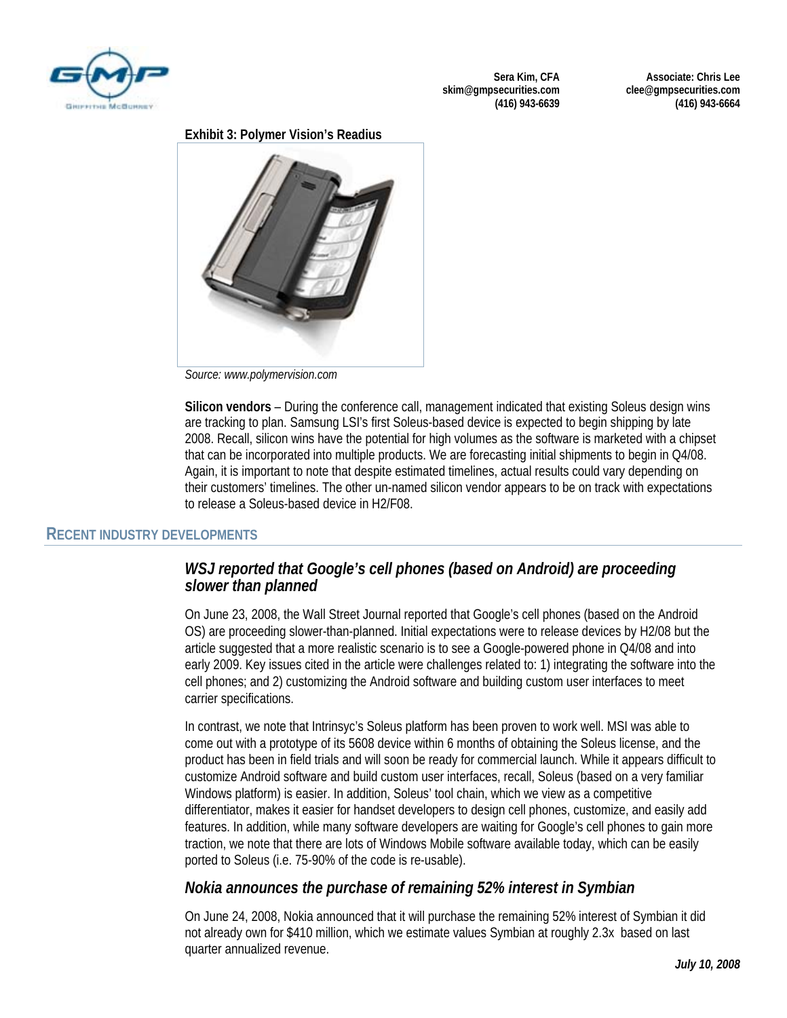

**Associate: Chris Lee clee@gmpsecurities.com (416) 943-6664** 

#### **Exhibit 3: Polymer Vision's Readius**



*Source: www.polymervision.com* 

**Silicon vendors** – During the conference call, management indicated that existing Soleus design wins are tracking to plan. Samsung LSI's first Soleus-based device is expected to begin shipping by late 2008. Recall, silicon wins have the potential for high volumes as the software is marketed with a chipset that can be incorporated into multiple products. We are forecasting initial shipments to begin in Q4/08. Again, it is important to note that despite estimated timelines, actual results could vary depending on their customers' timelines. The other un-named silicon vendor appears to be on track with expectations to release a Soleus-based device in H2/F08.

#### **RECENT INDUSTRY DEVELOPMENTS**

### *WSJ reported that Google's cell phones (based on Android) are proceeding slower than planned*

On June 23, 2008, the Wall Street Journal reported that Google's cell phones (based on the Android OS) are proceeding slower-than-planned. Initial expectations were to release devices by H2/08 but the article suggested that a more realistic scenario is to see a Google-powered phone in Q4/08 and into early 2009. Key issues cited in the article were challenges related to: 1) integrating the software into the cell phones; and 2) customizing the Android software and building custom user interfaces to meet carrier specifications.

In contrast, we note that Intrinsyc's Soleus platform has been proven to work well. MSI was able to come out with a prototype of its 5608 device within 6 months of obtaining the Soleus license, and the product has been in field trials and will soon be ready for commercial launch. While it appears difficult to customize Android software and build custom user interfaces, recall, Soleus (based on a very familiar Windows platform) is easier. In addition, Soleus' tool chain, which we view as a competitive differentiator, makes it easier for handset developers to design cell phones, customize, and easily add features. In addition, while many software developers are waiting for Google's cell phones to gain more traction, we note that there are lots of Windows Mobile software available today, which can be easily ported to Soleus (i.e. 75-90% of the code is re-usable).

#### *Nokia announces the purchase of remaining 52% interest in Symbian*

On June 24, 2008, Nokia announced that it will purchase the remaining 52% interest of Symbian it did not already own for \$410 million, which we estimate values Symbian at roughly 2.3x based on last quarter annualized revenue.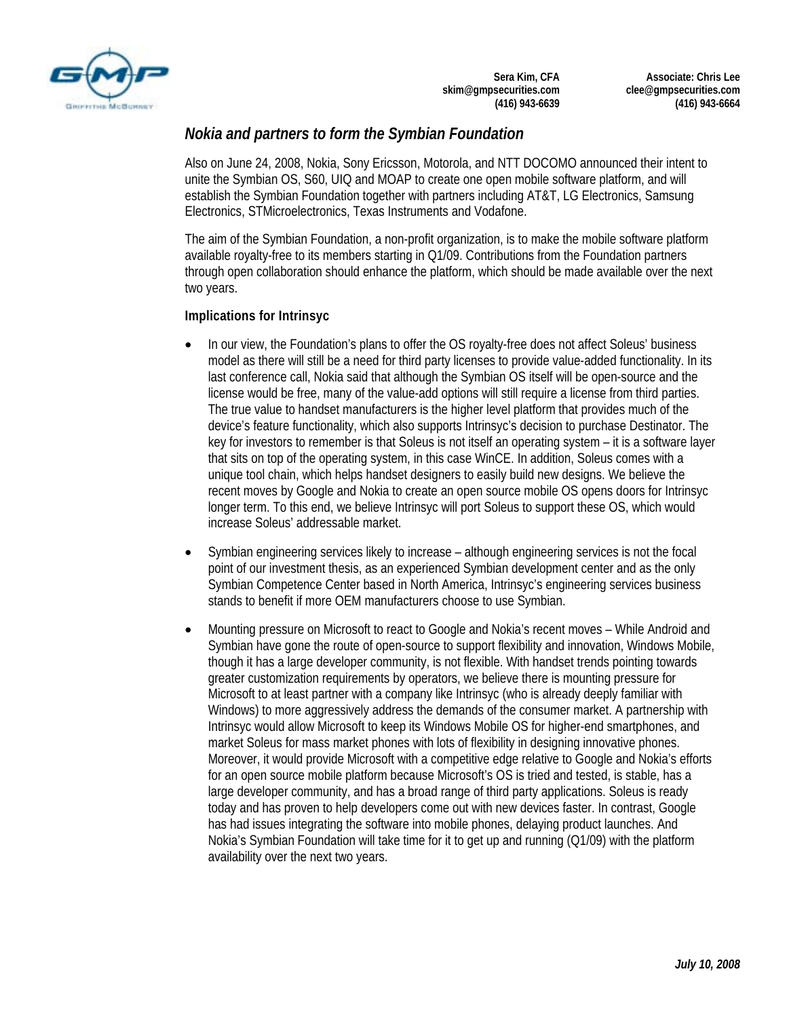

**Associate: Chris Lee clee@gmpsecurities.com (416) 943-6664** 

## *Nokia and partners to form the Symbian Foundation*

Also on June 24, 2008, Nokia, Sony Ericsson, Motorola, and NTT DOCOMO announced their intent to unite the Symbian OS, S60, UIQ and MOAP to create one open mobile software platform, and will establish the Symbian Foundation together with partners including AT&T, LG Electronics, Samsung Electronics, STMicroelectronics, Texas Instruments and Vodafone.

The aim of the Symbian Foundation, a non-profit organization, is to make the mobile software platform available royalty-free to its members starting in Q1/09. Contributions from the Foundation partners through open collaboration should enhance the platform, which should be made available over the next two years.

#### **Implications for Intrinsyc**

- In our view, the Foundation's plans to offer the OS royalty-free does not affect Soleus' business model as there will still be a need for third party licenses to provide value-added functionality. In its last conference call, Nokia said that although the Symbian OS itself will be open-source and the license would be free, many of the value-add options will still require a license from third parties. The true value to handset manufacturers is the higher level platform that provides much of the device's feature functionality, which also supports Intrinsyc's decision to purchase Destinator. The key for investors to remember is that Soleus is not itself an operating system – it is a software layer that sits on top of the operating system, in this case WinCE. In addition, Soleus comes with a unique tool chain, which helps handset designers to easily build new designs. We believe the recent moves by Google and Nokia to create an open source mobile OS opens doors for Intrinsyc longer term. To this end, we believe Intrinsyc will port Soleus to support these OS, which would increase Soleus' addressable market.
- Symbian engineering services likely to increase although engineering services is not the focal point of our investment thesis, as an experienced Symbian development center and as the only Symbian Competence Center based in North America, Intrinsyc's engineering services business stands to benefit if more OEM manufacturers choose to use Symbian.
- Mounting pressure on Microsoft to react to Google and Nokia's recent moves While Android and Symbian have gone the route of open-source to support flexibility and innovation, Windows Mobile, though it has a large developer community, is not flexible. With handset trends pointing towards greater customization requirements by operators, we believe there is mounting pressure for Microsoft to at least partner with a company like Intrinsyc (who is already deeply familiar with Windows) to more aggressively address the demands of the consumer market. A partnership with Intrinsyc would allow Microsoft to keep its Windows Mobile OS for higher-end smartphones, and market Soleus for mass market phones with lots of flexibility in designing innovative phones. Moreover, it would provide Microsoft with a competitive edge relative to Google and Nokia's efforts for an open source mobile platform because Microsoft's OS is tried and tested, is stable, has a large developer community, and has a broad range of third party applications. Soleus is ready today and has proven to help developers come out with new devices faster. In contrast, Google has had issues integrating the software into mobile phones, delaying product launches. And Nokia's Symbian Foundation will take time for it to get up and running (Q1/09) with the platform availability over the next two years.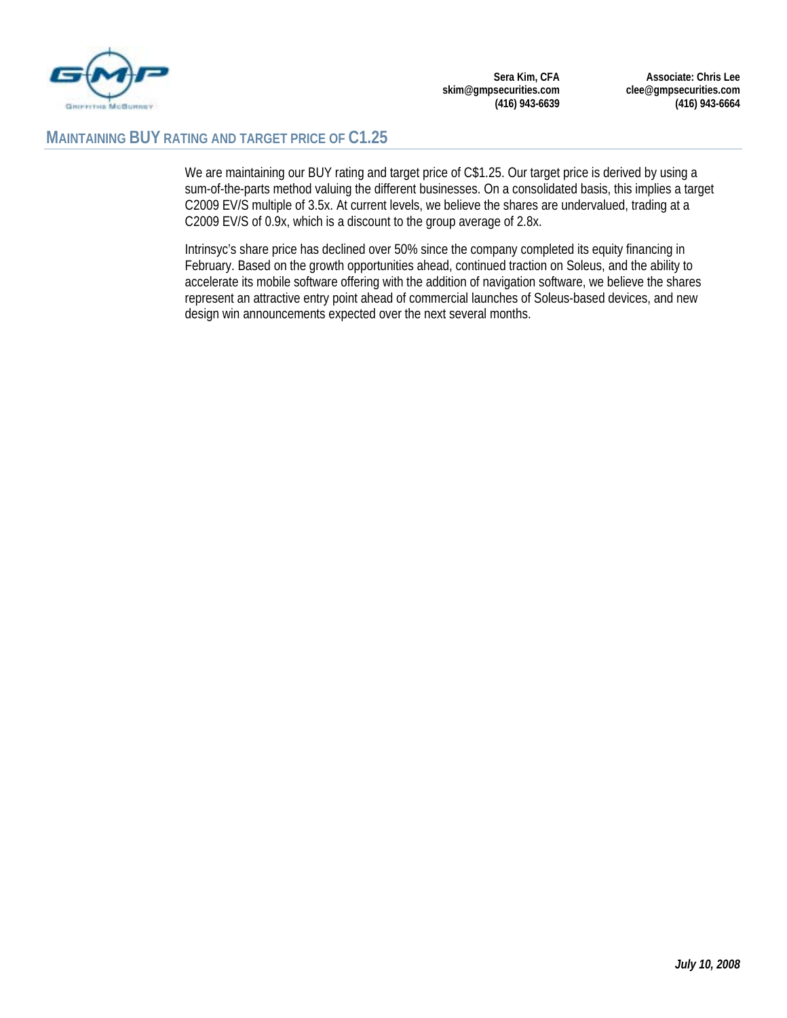

**Associate: Chris Lee clee@gmpsecurities.com (416) 943-6664** 

#### **MAINTAINING BUY RATING AND TARGET PRICE OF C1.25**

We are maintaining our BUY rating and target price of C\$1.25. Our target price is derived by using a sum-of-the-parts method valuing the different businesses. On a consolidated basis, this implies a target C2009 EV/S multiple of 3.5x. At current levels, we believe the shares are undervalued, trading at a C2009 EV/S of 0.9x, which is a discount to the group average of 2.8x.

Intrinsyc's share price has declined over 50% since the company completed its equity financing in February. Based on the growth opportunities ahead, continued traction on Soleus, and the ability to accelerate its mobile software offering with the addition of navigation software, we believe the shares represent an attractive entry point ahead of commercial launches of Soleus-based devices, and new design win announcements expected over the next several months.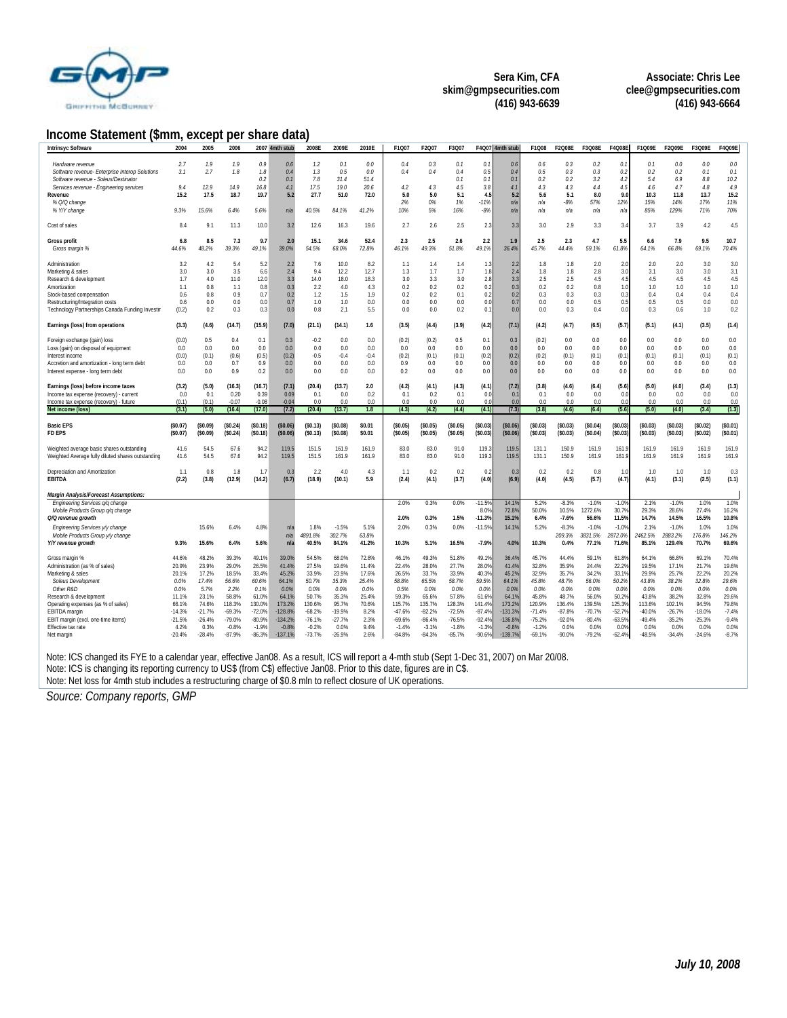

**Associate: Chris Lee clee@gmpsecurities.com (416) 943-6664** 

#### **Income Statement (\$mm, except per share data)**

| Intrinsyc Software                                       | 2004              | 2005              | 2006               |                    | 2007 4mth stub      | 2008E              | 2009E             | 2010E         | F1Q07              | F2Q07              | F3Q07              | F4Q07              | 4mth stub           | F1Q08              | F2Q08E             | F3Q08E          | F4Q08E             | F1Q09E             | F2Q09E             | F3Q09E         | F4Q09E           |
|----------------------------------------------------------|-------------------|-------------------|--------------------|--------------------|---------------------|--------------------|-------------------|---------------|--------------------|--------------------|--------------------|--------------------|---------------------|--------------------|--------------------|-----------------|--------------------|--------------------|--------------------|----------------|------------------|
|                                                          |                   |                   |                    |                    |                     |                    |                   |               |                    |                    |                    |                    |                     |                    |                    |                 |                    |                    |                    |                |                  |
| Hardware revenue                                         | 2.7               | 1.9               | 1.9                | 0.9                | 0.6                 | 1.2                | 0.1               | 0.0           | 0.4                | 0.3                | 0.1                | 0.1                | 0.6                 | 0.6                | 0.3                | 0.2             | 0.1                | 0.1                | 0.0                | 0.0            | 0.0              |
| Software revenue- Enterprise Interop Solutions           | 3.1               | 2.7               | 1.8                | 1.8                | 0.4                 | 1.3                | 0.5               | 0.0           | 0.4                | 0.4                | 0.4                | 0.5                | 0.4                 | 0.5                | 0.3                | 0.3             | 0.2                | 0.2                | 0.2                | 0.1            | 0.1              |
| Software revenue - Soleus/Destinator                     |                   |                   |                    | 0.2                | 0.1                 | 7.8                | 31.4              | 51.4          |                    |                    | 0.1                | 0.1                | 0.1                 | 0.2                | 0.2                | 3.2             | 4.2                | 5.4                | 6.9                | 8.8            | 10.2             |
| Services revenue - Engineering services                  | 9.4               | 12.9              | 14.9               | 16.8               | 4.1                 | 17.5               | 19.0              | 20.6          | 4.2                | 4.3                | 4.5                | 3.8                | 4.1                 | 4.3                | 4.3                | 4.4             | 4.5                | 4.6                | 4.7                | 4.8            | 4.9              |
| Revenue                                                  | 15.2              | 17.5              | 18.7               | 19.7               | 5.2                 | 27.7               | 51.0              | 72.0          | 5.0                | 5.0                | 5.1                | 4.5                | 5.2                 | 5.6                | 5.1                | 8.0             | 9.0                | 10.3               | 11.8               | 13.7           | 15.2             |
| % Q/Q change                                             |                   |                   |                    |                    |                     |                    |                   |               | 2%                 | 0%                 | 1%                 | $-11%$             | n/a                 | n/a                | $-8%$              | 57%             | 12%                | 15%                | 14%                | 17%            | 11%              |
| % Y/Y change                                             | 9.3%              | 15.6%             | 6.4%               | 5.6%               | n/a                 | 40.5%              | 84.1%             | 41.2%         | 10%                | 5%                 | 16%                | $-8%$              | n/a                 | n/a                | n/a                | n/a             | n/a                | 85%                | 129%               | 71%            | 70%              |
|                                                          |                   |                   |                    |                    |                     |                    |                   |               |                    |                    |                    |                    |                     |                    |                    |                 |                    |                    |                    |                |                  |
| Cost of sales                                            | 8.4               | 9.1               | 11.3               | 10.0               | 3.2                 | 12.6               | 16.3              | 19.6          | 2.7                | 2.6                | 2.5                | 2.3                | 3.3                 | 3.0                | 2.9                | 3.3             | 3.4                | 3.7                | 3.9                | 4.2            | 4.5              |
| <b>Gross profit</b>                                      | 6.8               | 8.5               | 7.3                | 9.7                | 2.0                 | 15.1               | 34.6              | 52.4          | 2.3                | 2.5                | 2.6                | 2.2                | 1.9                 | 2.5                | 2.3                | 4.7             | 5.5                | 6.6                | 7.9                | 9.5            | 10.7             |
| Gross margin %                                           | 44.6%             | 48.2%             | 39.3%              | 49.1%              | 39.0%               | 54.5%              | 68.0%             | 72.8%         | 46.1%              | 49.3%              | 51.8%              | 49.1%              | 36.4%               | 45.7%              | 44.4%              | 59.1%           | 61.8%              | 64.1%              | 66.8%              | 69.1%          | 70.4%            |
|                                                          |                   |                   |                    |                    |                     |                    |                   |               |                    |                    |                    |                    |                     |                    |                    |                 |                    |                    |                    |                |                  |
| Administration                                           | 3.2               | 4.2               | 5.4                | 5.2                | 2.2                 | 7.6                | 10.0              | 8.2           | 1.1                | 1.4                | 1.4                | 1.3                | 2.2                 | 1.8                | 1.8                | 2.0             | 2.0                | 2.0                | 2.0                | 3.0            | 3.0              |
| Marketing & sales                                        | 3.0               | 3.0               | 3.5                | 6.6                | 2.4                 | 9.4                | 12.2              | 12.7          | 1.3                | 1.7                | 1.7                | 1.8                | 2.4                 | 1.8                | 1.8                | 2.8             | 3.0                | 3.1                | 3.0                | 3.0            | 3.1              |
| Research & development                                   | 1.7               | 4.0               | 11.0               | 12.0               | 3.3                 | 14.0               | 18.0              | 18.3          | 3.0                | 3.3                | 3.0                | 2.8                | 3.3                 | 2.5                | 2.5                | 4.5             | 4.5                | 4.5                | 4.5                | 4.5            | 4.5              |
| Amortization                                             | 1.1               | 0.8               | 1.1                | 0.8                | 0.3                 | 2.2                | 4.0               | 4.3           | 0.2                | 0.2                | 0.2                | 0.2                | 0.3                 | 0.2                | 0.2                | 0.8             | 1.0                | 1.0                | 1.0                | 1.0            | 1.0              |
| Stock-based compensation                                 | 0.6               | 0.8               | 0.9                | 0.7                | 0.2                 | 1.2                | 1.5               | 1.9           | 0.2                | 0.2                | 0.1                | 0.2                | 0.2                 | 0.3                | 0.3                | 0.3             | 0.3                | 0.4                | 0.4                | 0.4            | 0.4              |
| Restructuring/Integration costs                          | 0.6               | 0.0               | 0.0                | 0.0                | 0.7                 | 1.0                | 1.0               | 0.0           | 0.0                | 0.0                | 0.0                | 0.0                | 0.7                 | 0.0                | 0.0                | 0.5             | 0.5                | 0.5                | 0.5                | 0.0            | 0.0              |
| Technology Partnerships Canada Funding Investm           | (0.2)             | 0.2               | 0.3                | 0.3                | 0.0                 | 0.8                | 2.1               | 5.5           | 0.0                | 0.0                | 0.2                | 0.1                | 0.0                 | 0.0                | 0.3                | 0.4             | 0.0                | 0.3                | 0.6                | 1.0            | 0.2              |
|                                                          |                   |                   |                    |                    |                     |                    |                   |               |                    |                    |                    |                    |                     |                    |                    |                 |                    |                    |                    |                |                  |
| Earnings (loss) from operations                          | (3.3)             | (4.6)             | (14.7)             | (15.9)             | (7.0)               | (21.1)             | (14.1)            | 1.6           | (3.5)              | (4.4)              | (3.9)              | (4.2)              | (7.1)               | (4.2)              | (4.7)              | (6.5)           | (5.7)              | (5.1)              | (4.1)              | (3.5)          | (1.4)            |
|                                                          |                   |                   |                    |                    |                     |                    |                   |               |                    |                    |                    |                    |                     |                    |                    |                 |                    |                    |                    |                |                  |
| Foreign exchange (gain) loss                             | (0.0)             | 0.5               | 0.4                | 0.1                | 0.3                 | $-0.2$             | 0.0               | 0.0           | (0.2)              | (0.2)              | 0.5                | 0.1                | 0.3                 | (0.2)              | 0.0                | 0.0             | 0.0                | 0.0                | 0.0                | 0.0            | 0.0              |
| Loss (gain) on disposal of equipment                     | 0.0               | 0.0               | 0.0                | 0.0                | 0.0                 | 0.0                | 0.0               | 0.0           | 0.0                | 0.0                | 0.0                | 0.0                | 0.0                 | 0.0                | 0.0                | 0.0             | 0.0                | 0.0                | 0.0                | 0.0            | 0.0              |
| Interest income                                          | (0.0)             | (0.1)             | (0.6)              | (0.5)              | (0.2)               | $-0.5$             | $-0.4$            | $-0.4$        | (0.2)              | (0.1)              | (0.1)              | (0.2)              | (0.2)               | (0.2)              | (0.1)              | (0.1)           | (0.1)              | (0.1)              | (0.1)              | (0.1)          | (0.1)            |
| Accretion and amortization - long term debt              | 0.0               | 0.0               | 0.7                | 0.9                | 0.0                 | 0.0                | 0.0               | 0.0           | 0.9                | 0.0                | 0.0                | 0.0                | 0.0                 | 0.0                | 0.0                | 0.0             | 0.0                | 0.0                | 0.0                | 0.0            | 0.0              |
| Interest expense - long term debt                        | 0.0               | 0.0               | 0.9                | 0.2                | 0.0                 | 0.0                | 0.0               | 0.0           | 0.2                | 0.0                | 0.0                | 0.0                | 0.0                 | 0.0                | 0.0                | 0.0             | 0.0                | 0.0                | 0.0                | 0.0            | 0.0              |
|                                                          |                   |                   |                    |                    |                     |                    |                   |               |                    |                    |                    |                    |                     |                    |                    |                 |                    |                    |                    |                |                  |
| Earnings (loss) before income taxes                      | (3.2)             | (5.0)             | (16.3)             | (16.7)             | (7.1)               | (20.4)             | (13.7)            | 2.0           | (4.2)              | (4.1)              | (4.3)              | (4.1)              | (7.2)               | (3.8)              | (4.6)              | (6.4)           | (5.6)              | (5.0)              | (4.0)              | (3.4)          | (1.3)            |
|                                                          |                   |                   |                    |                    |                     |                    |                   |               |                    |                    |                    |                    |                     |                    |                    |                 |                    |                    |                    |                |                  |
| Income tax expense (recovery) - current                  | 0.0               | 0.1               | 0.20               | 0.39               | 0.09                | 0.1                | 0.0               | 0.2           | 0.1                | 0.2                | 0.1                | 0.0                | 0.1                 | 0.1                | 0.0                | 0.0             | 0.0                | 0.0                | 0.0                | 0.0            | 0.0              |
| Income tax expense (recovery) - future                   | (0.1)             | (0.1)             | $-0.07$            | $-0.08$            | $-0.04$             | 0.0                | 0.0               | 0.0           | 0.0                | 0.0                | 0.0                | 0.0                | 0.0                 | n n                | 0.0                | 0.0             | 0.0                | n n                | 0.0                | 0.0            | 0.0              |
| Net income (loss)                                        | (3.1)             | (5.0)             | (16.4)             | (17.0)             | (7.2)               | (20.4)             | (13.7)            | 1.8           | (4.3)              | (4.2)              | (4.4)              | (4.1)              | (7.3)               | (3.8)              | (4.6)              | (6.4)           | (5.6)              | (5.0)              | (4.0)              | (3.4)          | (1.3)            |
|                                                          |                   |                   |                    |                    |                     |                    |                   |               |                    |                    |                    |                    |                     |                    |                    |                 |                    |                    |                    |                |                  |
| <b>Basic EPS</b>                                         | (\$0.07)          | (S0.09)           | (S0.24)            | (S0.18)            | (S0.06)             | (S0.13)            | (S0.08)           | \$0.01        | (S0.05)            | (S0.05)            | (\$0.05)           | (S0.03)            | (S0.06)             | (S0.03)            | (50.03)            | \$0.04\$        | (\$0.03)           | (S0.03)            | (S0.03)            | (S0.02)        | (\$0.01)         |
| <b>FD EPS</b>                                            | (S0.07)           | (\$0.09)          | (S0.24)            | (S0.18)            | (\$0.06)            | (S0.13)            | (S0.08)           | \$0.01        | (S0.05)            | (\$0.05)           | (S0.05)            | (S0.03)            | (S0.06)             | (\$0.03)           | (50.03)            | (S0.04)         | (S0.03)            | (S0.03)            | (S0.03)            | (50.02)        | (\$0.01)         |
|                                                          |                   |                   |                    |                    |                     |                    |                   |               |                    |                    |                    |                    |                     |                    |                    |                 |                    |                    |                    |                |                  |
| Weighted average basic shares outstanding                | 41.6              | 54.5              | 67.6               | 94.2               | 119.5               | 151.5              | 161.9             | 161.9         | 83.0               | 83.0               | 91.0               | 119.               | 119.                | 131.1              | 150.9              | 161.9           | 161                | 161.9              | 161.9              | 161.9          | 161.9            |
| Weighted Average fully diluted shares outstanding        | 41.6              | 54.5              | 67.6               | 94.2               | 119.5               | 151.5              | 161.9             | 161.9         | 83.0               | 83.0               | 91.0               | 119.3              | 119.5               | 131.1              | 150.9              | 161.9           | 161.9              | 161.9              | 161.9              | 161.9          | 161.9            |
|                                                          |                   |                   |                    |                    |                     |                    |                   |               |                    |                    |                    |                    |                     |                    |                    |                 |                    |                    |                    |                |                  |
| Depreciation and Amortization                            | 1.1               | 0.8               | 1.8                | 1.7                | 0.3                 | 2.2                | 4.0               | 4.3           | 1.1                | 0.2                | 0.2                | 0.                 | $0$ .               | 0.2                | 0.2                | 0.8             | 1(                 | 1.0                | 1.0                | 1.0            | 0.3              |
| <b>EBITDA</b>                                            | (2.2)             | (3.8)             | (12.9)             | (14.2)             | (6.7)               | (18.9)             | (10.1)            | 5.9           | (2.4)              | (4.1)              | (3.7)              | (4.0)              | (6.9)               | (4.0)              | (4.5)              | (5.7)           | (4.7)              | (4.1)              | (3.1)              | (2.5)          | (1.1)            |
|                                                          |                   |                   |                    |                    |                     |                    |                   |               |                    |                    |                    |                    |                     |                    |                    |                 |                    |                    |                    |                |                  |
| Margin Analysis/Forecast Assumptions:                    |                   |                   |                    |                    |                     |                    |                   |               |                    |                    |                    |                    |                     |                    |                    |                 |                    |                    |                    |                |                  |
| Engineering Services g/g change                          |                   |                   |                    |                    |                     |                    |                   |               | 2.0%               | 0.3%               | 0.0%               | $-11.59$           | 14.19               | 5.2%               | $-8.3%$            | $-1.0%$         | $-1.09$            | 2.1%               | $-1.0%$            | 1.0%           | 1.0%             |
| Mobile Products Group q/q change                         |                   |                   |                    |                    |                     |                    |                   |               |                    |                    |                    | 8.0%               | 72.8%               | 50.0%              | 10.5%              | 1272.6%         | 30.7%              | 29.3%              | 28.6%              | 27.4%          | 16.2%            |
| Q/Q revenue growth                                       |                   |                   |                    |                    |                     |                    |                   |               | 2.0%               | 0.3%               | 1.5%               | $-11.3%$           | 15.1%               | 6.4%               | $-7.6%$            | 56.6%           | 11.59              | 14.7%              | 14.5%              | 16.5%          | 10.8%            |
| Engineering Services y/y change                          |                   | 15.6%             | 6.4%               | 4.8%               | n/a                 | 1.8%               | $-1.5%$           | 5.1%          | 2.0%               | 0.3%               | 0.0%               | $-11.5%$           | 14.1%               | 5.2%               | $-8.3%$            | $-1.0%$         | $-1.09$            | 2.1%               | $-1.0%$            | 1.0%           | 1.0%             |
| Mobile Products Group y/y change                         |                   |                   |                    |                    | n/a                 | 4891.8%            | 302.7%            | 63.8%         |                    |                    |                    |                    |                     |                    | 209.3%             | 3831.5%         | 2872.0%            | 2462.5%            | 2883.2%            | 176.8%         | 146.2%           |
| Y/Y revenue growth                                       | 9.3%              | 15.6%             | 6.4%               | 5.6%               | n/a                 | 40.5%              | 84.1%             | 41.2%         | 10.3%              | 5.1%               | 16.5%              | $-7.9%$            | 4.0%                | 10.3%              | 0.4%               | 77.1%           | 71.69              | 85.1%              | 129.4%             | 70.7%          | 69.6%            |
|                                                          |                   |                   |                    |                    |                     |                    |                   |               |                    |                    |                    |                    |                     |                    |                    |                 |                    |                    |                    |                |                  |
| Gross margin %                                           | 44.6%             | 48.2%             | 39.3%              | 49.1%              | 39.0%               | 54.5%              | 68.0%             | 72.8%         | 46.1%              | 49.3%              | 51.8%              | 49.19              | 36.4%               | 45.7%              | 44.4%              | 59.1%           | 61.89              | 64.1%              | 66.8%              | 69.1%          | 70.4%            |
| Administration (as % of sales)                           | 20.9%             | 23.9%             | 29.0%              | 26.5%              | 41.4%               | 27.5%              | 19.6%             | 11.4%         | 22.4%              | 28.0%              | 27.7%              | 28.09              | 41.49               | 32.8%              | 35.9%              | 24.4%           | 22.29              | 19.5%              | 17.1%              | 21.7%          | 19.6%            |
| Marketing & sales                                        | 20.1%             | 17.2%             | 18.5%              | 33.4%              | 45.2%               | 33.9%              | 23.9%             | 17.6%         | 26.5%              | 33.7%              | 33.9%              | 40.39              | 45.29               | 32.9%              | 35.7%              | 34.2%           | 33.19              | 29.9%              | 25.7%              | 22.2%          | 20.2%            |
| Soleus Development<br>Other R&D                          | 0.0%<br>0.0%      | 17.4%<br>5.7%     | 56.6%<br>2.2%      | 60.6%<br>0.1%      | 64.1%<br>0.0%       | 50.7%<br>0.0%      | 35.3%<br>0.0%     | 25.4%<br>0.0% | 58.8%<br>0.5%      | 65.5%<br>0.0%      | 58.7%<br>0.0%      | 59.5%<br>0.0%      | 64.1%<br>0.0%       | 45.8%<br>0.0%      | 48.7%<br>0.0%      | 56.0%<br>0.0%   | 50.2%<br>0.09      | 43.8%<br>0.0%      | 38.2%<br>0.0%      | 32.8%<br>0.0%  | 29.6%<br>0.0%    |
|                                                          |                   |                   |                    |                    |                     |                    |                   |               |                    |                    |                    |                    |                     |                    |                    |                 |                    |                    |                    |                |                  |
| Research & development                                   | 11.1%             | 23.1%             | 58.8%              | 61.0%              | 64.1%               | 50.7%              | 35.3%             | 25.4%         | 59.3%              | 65.6%              | 57.8%              | 61.69              | 64.19               | 45.8%              | 48.7%              | 56.0%<br>139.5% | 50.29              | 43.8%              | 38.2%              | 32.8%<br>94.5% | 29.6%            |
| Operating expenses (as % of sales)                       | 66.1%<br>$-14.3%$ | 74.6%<br>$-21.7%$ | 118.3%<br>$-69.3%$ | 130.0%<br>$-72.0%$ | 173.2%<br>$-128.8%$ | 130.6%<br>$-68.2%$ | 95.7%<br>$-19.9%$ | 70.6%<br>8.2% | 115.7%<br>$-47.6%$ | 135.7%<br>$-82.2%$ | 128.3%<br>$-72.5%$ | 141.49<br>$-87.49$ | 173.2%<br>$-131.39$ | 120.9%<br>$-71.4%$ | 136.4%<br>$-87.8%$ | $-70.7%$        | 125.39<br>$-52.79$ | 113.6%<br>$-40.0%$ | 102.1%<br>$-26.7%$ | $-18.0%$       | 79.8%<br>$-7.4%$ |
| EBITDA marqin                                            | $-21.5%$          | $-26.4%$          | $-79.0%$           | $-80.9%$           | $-134.2%$           | $-76.1%$           | $-27.7%$          | 2.3%          | $-69.6%$           | $-86.4%$           | $-76.5%$           | $-92.49$           | $-136.89$           | $-75.2%$           | $-92.0%$           | $-80.4%$        | $-63.59$           | -49.4%             | $-35.2%$           | $-25.3%$       | $-9.4%$          |
| EBIT margin (excl. one-time items)<br>Effective tax rate | 4.2%              | 0.3%              | $-0.8%$            | $-1.9%$            | $-0.8%$             | $-0.2%$            | 0.0%              | 9.4%          | $-1.4%$            | $-3.1%$            | $-1.8%$            | $-1.39$            | $-0.8%$             | $-1.2%$            | 0.0%               | 0.0%            | 0.0%               | 0.0%               | 0.0%               | 0.0%           | 0.0%             |

Note: ICS changed its FYE to a calendar year, effective Jan08. As a result, ICS will report a 4-mth stub (Sept 1-Dec 31, 2007) on Mar 20/08.

Note: ICS is changing its reporting currency to US\$ (from C\$) effective Jan08. Prior to this date, figures are in C\$.

Note: Net loss for 4mth stub includes a restructuring charge of \$0.8 mln to reflect closure of UK operations.

*Source: Company reports, GMP*